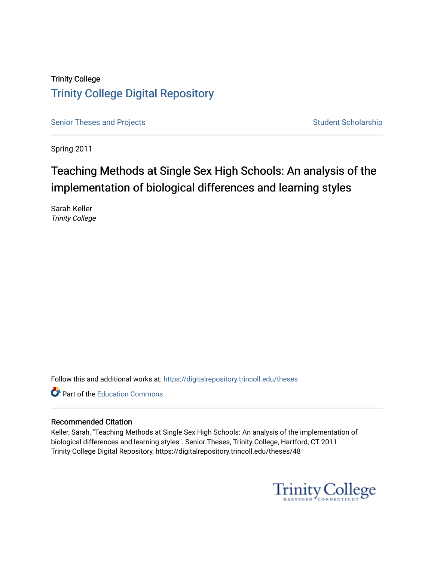# Trinity College [Trinity College Digital Repository](https://digitalrepository.trincoll.edu/)

[Senior Theses and Projects](https://digitalrepository.trincoll.edu/theses) Senior Theses and Projects Student Scholarship

Spring 2011

# Teaching Methods at Single Sex High Schools: An analysis of the implementation of biological differences and learning styles

Sarah Keller Trinity College

Follow this and additional works at: [https://digitalrepository.trincoll.edu/theses](https://digitalrepository.trincoll.edu/theses?utm_source=digitalrepository.trincoll.edu%2Ftheses%2F48&utm_medium=PDF&utm_campaign=PDFCoverPages)

Part of the [Education Commons](http://network.bepress.com/hgg/discipline/784?utm_source=digitalrepository.trincoll.edu%2Ftheses%2F48&utm_medium=PDF&utm_campaign=PDFCoverPages)

#### Recommended Citation

Keller, Sarah, "Teaching Methods at Single Sex High Schools: An analysis of the implementation of biological differences and learning styles". Senior Theses, Trinity College, Hartford, CT 2011. Trinity College Digital Repository, https://digitalrepository.trincoll.edu/theses/48

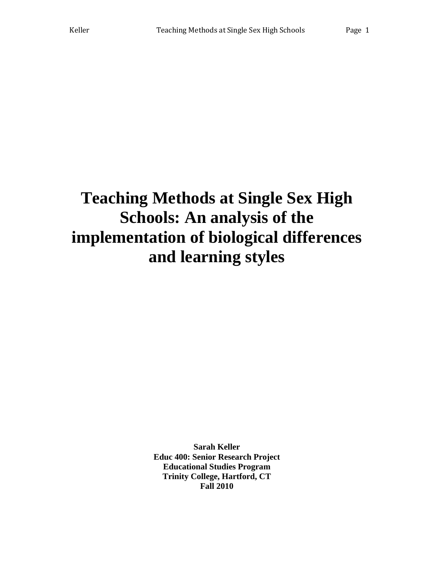# **Teaching Methods at Single Sex High Schools: An analysis of the implementation of biological differences and learning styles**

**Sarah Keller Educ 400: Senior Research Project Educational Studies Program Trinity College, Hartford, CT Fall 2010**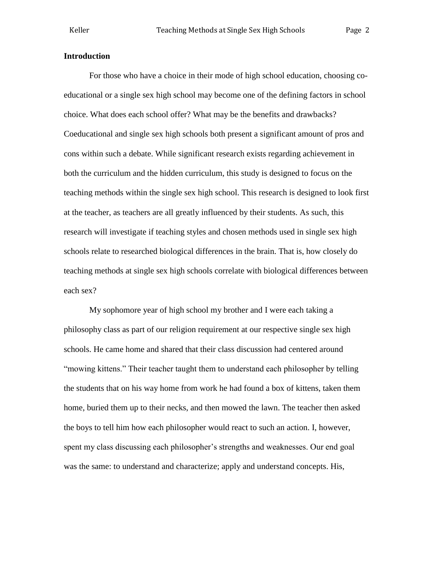#### **Introduction**

For those who have a choice in their mode of high school education, choosing coeducational or a single sex high school may become one of the defining factors in school choice. What does each school offer? What may be the benefits and drawbacks? Coeducational and single sex high schools both present a significant amount of pros and cons within such a debate. While significant research exists regarding achievement in both the curriculum and the hidden curriculum, this study is designed to focus on the teaching methods within the single sex high school. This research is designed to look first at the teacher, as teachers are all greatly influenced by their students. As such, this research will investigate if teaching styles and chosen methods used in single sex high schools relate to researched biological differences in the brain. That is, how closely do teaching methods at single sex high schools correlate with biological differences between each sex?

My sophomore year of high school my brother and I were each taking a philosophy class as part of our religion requirement at our respective single sex high schools. He came home and shared that their class discussion had centered around "mowing kittens." Their teacher taught them to understand each philosopher by telling the students that on his way home from work he had found a box of kittens, taken them home, buried them up to their necks, and then mowed the lawn. The teacher then asked the boys to tell him how each philosopher would react to such an action. I, however, spent my class discussing each philosopher's strengths and weaknesses. Our end goal was the same: to understand and characterize; apply and understand concepts. His,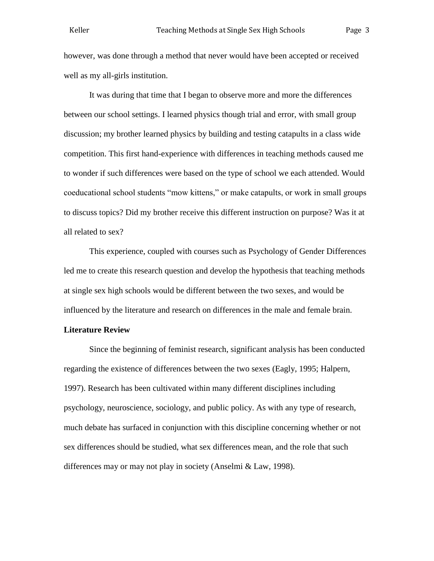however, was done through a method that never would have been accepted or received well as my all-girls institution.

It was during that time that I began to observe more and more the differences between our school settings. I learned physics though trial and error, with small group discussion; my brother learned physics by building and testing catapults in a class wide competition. This first hand-experience with differences in teaching methods caused me to wonder if such differences were based on the type of school we each attended. Would coeducational school students "mow kittens," or make catapults, or work in small groups to discuss topics? Did my brother receive this different instruction on purpose? Was it at all related to sex?

This experience, coupled with courses such as Psychology of Gender Differences led me to create this research question and develop the hypothesis that teaching methods at single sex high schools would be different between the two sexes, and would be influenced by the literature and research on differences in the male and female brain.

#### **Literature Review**

Since the beginning of feminist research, significant analysis has been conducted regarding the existence of differences between the two sexes (Eagly, 1995; Halpern, 1997). Research has been cultivated within many different disciplines including psychology, neuroscience, sociology, and public policy. As with any type of research, much debate has surfaced in conjunction with this discipline concerning whether or not sex differences should be studied, what sex differences mean, and the role that such differences may or may not play in society (Anselmi & Law, 1998).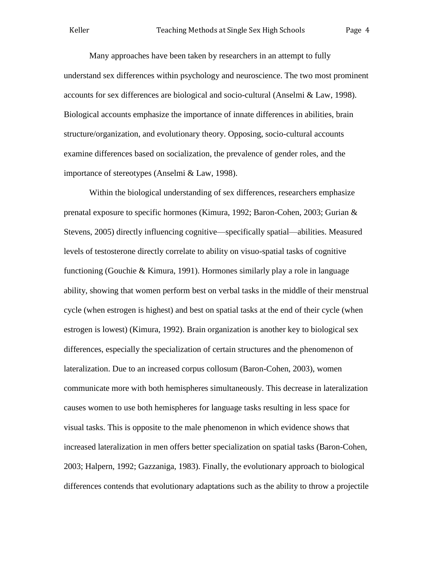Many approaches have been taken by researchers in an attempt to fully understand sex differences within psychology and neuroscience. The two most prominent accounts for sex differences are biological and socio-cultural (Anselmi & Law, 1998). Biological accounts emphasize the importance of innate differences in abilities, brain structure/organization, and evolutionary theory. Opposing, socio-cultural accounts examine differences based on socialization, the prevalence of gender roles, and the importance of stereotypes (Anselmi & Law, 1998).

Within the biological understanding of sex differences, researchers emphasize prenatal exposure to specific hormones (Kimura, 1992; Baron-Cohen, 2003; Gurian & Stevens, 2005) directly influencing cognitive—specifically spatial—abilities. Measured levels of testosterone directly correlate to ability on visuo-spatial tasks of cognitive functioning (Gouchie & Kimura, 1991). Hormones similarly play a role in language ability, showing that women perform best on verbal tasks in the middle of their menstrual cycle (when estrogen is highest) and best on spatial tasks at the end of their cycle (when estrogen is lowest) (Kimura, 1992). Brain organization is another key to biological sex differences, especially the specialization of certain structures and the phenomenon of lateralization. Due to an increased corpus collosum (Baron-Cohen, 2003), women communicate more with both hemispheres simultaneously. This decrease in lateralization causes women to use both hemispheres for language tasks resulting in less space for visual tasks. This is opposite to the male phenomenon in which evidence shows that increased lateralization in men offers better specialization on spatial tasks (Baron-Cohen, 2003; Halpern, 1992; Gazzaniga, 1983). Finally, the evolutionary approach to biological differences contends that evolutionary adaptations such as the ability to throw a projectile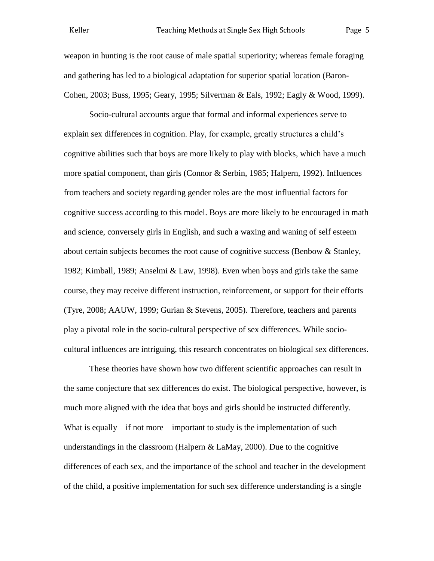weapon in hunting is the root cause of male spatial superiority; whereas female foraging and gathering has led to a biological adaptation for superior spatial location (Baron-Cohen, 2003; Buss, 1995; Geary, 1995; Silverman & Eals, 1992; Eagly & Wood, 1999).

Socio-cultural accounts argue that formal and informal experiences serve to explain sex differences in cognition. Play, for example, greatly structures a child's cognitive abilities such that boys are more likely to play with blocks, which have a much more spatial component, than girls (Connor & Serbin, 1985; Halpern, 1992). Influences from teachers and society regarding gender roles are the most influential factors for cognitive success according to this model. Boys are more likely to be encouraged in math and science, conversely girls in English, and such a waxing and waning of self esteem about certain subjects becomes the root cause of cognitive success (Benbow & Stanley, 1982; Kimball, 1989; Anselmi & Law, 1998). Even when boys and girls take the same course, they may receive different instruction, reinforcement, or support for their efforts (Tyre, 2008; AAUW, 1999; Gurian & Stevens, 2005). Therefore, teachers and parents play a pivotal role in the socio-cultural perspective of sex differences. While sociocultural influences are intriguing, this research concentrates on biological sex differences.

These theories have shown how two different scientific approaches can result in the same conjecture that sex differences do exist. The biological perspective, however, is much more aligned with the idea that boys and girls should be instructed differently. What is equally—if not more—important to study is the implementation of such understandings in the classroom (Halpern  $\&$  LaMay, 2000). Due to the cognitive differences of each sex, and the importance of the school and teacher in the development of the child, a positive implementation for such sex difference understanding is a single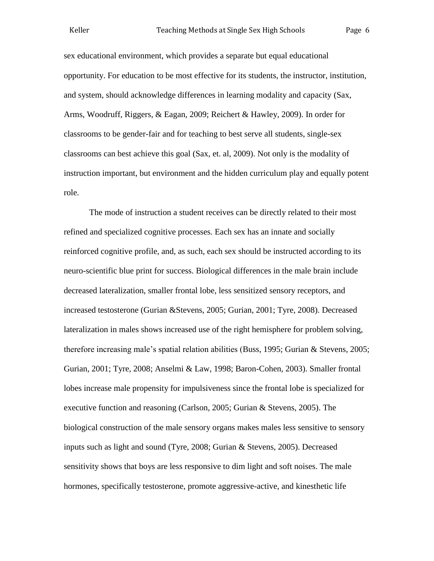sex educational environment, which provides a separate but equal educational opportunity. For education to be most effective for its students, the instructor, institution, and system, should acknowledge differences in learning modality and capacity (Sax, Arms, Woodruff, Riggers, & Eagan, 2009; Reichert & Hawley, 2009). In order for classrooms to be gender-fair and for teaching to best serve all students, single-sex classrooms can best achieve this goal (Sax, et. al, 2009). Not only is the modality of instruction important, but environment and the hidden curriculum play and equally potent role.

The mode of instruction a student receives can be directly related to their most refined and specialized cognitive processes. Each sex has an innate and socially reinforced cognitive profile, and, as such, each sex should be instructed according to its neuro-scientific blue print for success. Biological differences in the male brain include decreased lateralization, smaller frontal lobe, less sensitized sensory receptors, and increased testosterone (Gurian &Stevens, 2005; Gurian, 2001; Tyre, 2008). Decreased lateralization in males shows increased use of the right hemisphere for problem solving, therefore increasing male's spatial relation abilities (Buss, 1995; Gurian & Stevens, 2005; Gurian, 2001; Tyre, 2008; Anselmi & Law, 1998; Baron-Cohen, 2003). Smaller frontal lobes increase male propensity for impulsiveness since the frontal lobe is specialized for executive function and reasoning (Carlson, 2005; Gurian & Stevens, 2005). The biological construction of the male sensory organs makes males less sensitive to sensory inputs such as light and sound (Tyre, 2008; Gurian & Stevens, 2005). Decreased sensitivity shows that boys are less responsive to dim light and soft noises. The male hormones, specifically testosterone, promote aggressive-active, and kinesthetic life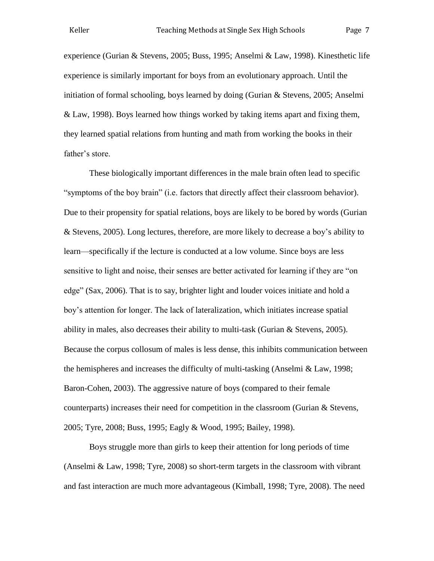experience (Gurian & Stevens, 2005; Buss, 1995; Anselmi & Law, 1998). Kinesthetic life experience is similarly important for boys from an evolutionary approach. Until the initiation of formal schooling, boys learned by doing (Gurian & Stevens, 2005; Anselmi & Law, 1998). Boys learned how things worked by taking items apart and fixing them, they learned spatial relations from hunting and math from working the books in their father's store.

These biologically important differences in the male brain often lead to specific "symptoms of the boy brain" (i.e. factors that directly affect their classroom behavior). Due to their propensity for spatial relations, boys are likely to be bored by words (Gurian & Stevens, 2005). Long lectures, therefore, are more likely to decrease a boy's ability to learn—specifically if the lecture is conducted at a low volume. Since boys are less sensitive to light and noise, their senses are better activated for learning if they are "on edge" (Sax, 2006). That is to say, brighter light and louder voices initiate and hold a boy's attention for longer. The lack of lateralization, which initiates increase spatial ability in males, also decreases their ability to multi-task (Gurian  $\&$  Stevens, 2005). Because the corpus collosum of males is less dense, this inhibits communication between the hemispheres and increases the difficulty of multi-tasking (Anselmi & Law, 1998; Baron-Cohen, 2003). The aggressive nature of boys (compared to their female counterparts) increases their need for competition in the classroom (Gurian & Stevens, 2005; Tyre, 2008; Buss, 1995; Eagly & Wood, 1995; Bailey, 1998).

Boys struggle more than girls to keep their attention for long periods of time (Anselmi & Law, 1998; Tyre, 2008) so short-term targets in the classroom with vibrant and fast interaction are much more advantageous (Kimball, 1998; Tyre, 2008). The need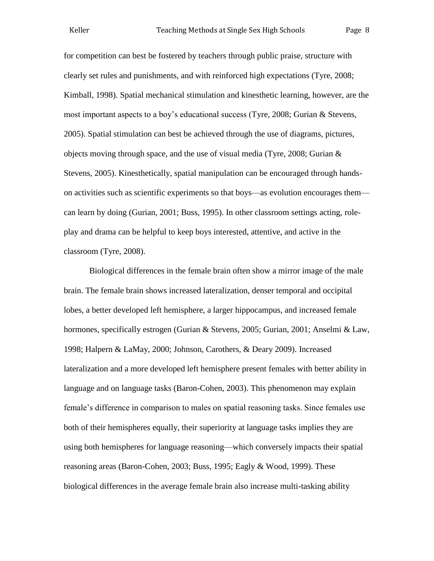for competition can best be fostered by teachers through public praise, structure with clearly set rules and punishments, and with reinforced high expectations (Tyre, 2008; Kimball, 1998). Spatial mechanical stimulation and kinesthetic learning, however, are the most important aspects to a boy's educational success (Tyre, 2008; Gurian & Stevens, 2005). Spatial stimulation can best be achieved through the use of diagrams, pictures, objects moving through space, and the use of visual media (Tyre, 2008; Gurian & Stevens, 2005). Kinesthetically, spatial manipulation can be encouraged through handson activities such as scientific experiments so that boys—as evolution encourages them can learn by doing (Gurian, 2001; Buss, 1995). In other classroom settings acting, roleplay and drama can be helpful to keep boys interested, attentive, and active in the classroom (Tyre, 2008).

Biological differences in the female brain often show a mirror image of the male brain. The female brain shows increased lateralization, denser temporal and occipital lobes, a better developed left hemisphere, a larger hippocampus, and increased female hormones, specifically estrogen (Gurian & Stevens, 2005; Gurian, 2001; Anselmi & Law, 1998; Halpern & LaMay, 2000; Johnson, Carothers, & Deary 2009). Increased lateralization and a more developed left hemisphere present females with better ability in language and on language tasks (Baron-Cohen, 2003). This phenomenon may explain female's difference in comparison to males on spatial reasoning tasks. Since females use both of their hemispheres equally, their superiority at language tasks implies they are using both hemispheres for language reasoning—which conversely impacts their spatial reasoning areas (Baron-Cohen, 2003; Buss, 1995; Eagly & Wood, 1999). These biological differences in the average female brain also increase multi-tasking ability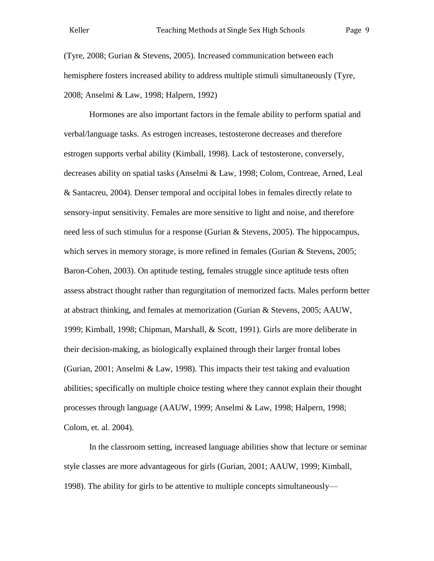(Tyre, 2008; Gurian & Stevens, 2005). Increased communication between each hemisphere fosters increased ability to address multiple stimuli simultaneously (Tyre, 2008; Anselmi & Law, 1998; Halpern, 1992)

Hormones are also important factors in the female ability to perform spatial and verbal/language tasks. As estrogen increases, testosterone decreases and therefore estrogen supports verbal ability (Kimball, 1998). Lack of testosterone, conversely, decreases ability on spatial tasks (Anselmi & Law, 1998; Colom, Contreae, Arned, Leal & Santacreu, 2004). Denser temporal and occipital lobes in females directly relate to sensory-input sensitivity. Females are more sensitive to light and noise, and therefore need less of such stimulus for a response (Gurian & Stevens, 2005). The hippocampus, which serves in memory storage, is more refined in females (Gurian & Stevens, 2005; Baron-Cohen, 2003). On aptitude testing, females struggle since aptitude tests often assess abstract thought rather than regurgitation of memorized facts. Males perform better at abstract thinking, and females at memorization (Gurian & Stevens, 2005; AAUW, 1999; Kimball, 1998; Chipman, Marshall, & Scott, 1991). Girls are more deliberate in their decision-making, as biologically explained through their larger frontal lobes (Gurian, 2001; Anselmi & Law, 1998). This impacts their test taking and evaluation abilities; specifically on multiple choice testing where they cannot explain their thought processes through language (AAUW, 1999; Anselmi & Law, 1998; Halpern, 1998; Colom, et. al. 2004).

In the classroom setting, increased language abilities show that lecture or seminar style classes are more advantageous for girls (Gurian, 2001; AAUW, 1999; Kimball, 1998). The ability for girls to be attentive to multiple concepts simultaneously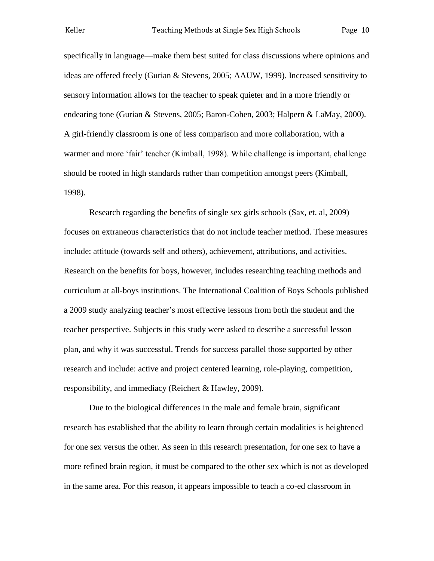specifically in language—make them best suited for class discussions where opinions and ideas are offered freely (Gurian & Stevens, 2005; AAUW, 1999). Increased sensitivity to sensory information allows for the teacher to speak quieter and in a more friendly or endearing tone (Gurian & Stevens, 2005; Baron-Cohen, 2003; Halpern & LaMay, 2000). A girl-friendly classroom is one of less comparison and more collaboration, with a warmer and more 'fair' teacher (Kimball, 1998). While challenge is important, challenge should be rooted in high standards rather than competition amongst peers (Kimball, 1998).

Research regarding the benefits of single sex girls schools (Sax, et. al, 2009) focuses on extraneous characteristics that do not include teacher method. These measures include: attitude (towards self and others), achievement, attributions, and activities. Research on the benefits for boys, however, includes researching teaching methods and curriculum at all-boys institutions. The International Coalition of Boys Schools published a 2009 study analyzing teacher's most effective lessons from both the student and the teacher perspective. Subjects in this study were asked to describe a successful lesson plan, and why it was successful. Trends for success parallel those supported by other research and include: active and project centered learning, role-playing, competition, responsibility, and immediacy (Reichert & Hawley, 2009).

Due to the biological differences in the male and female brain, significant research has established that the ability to learn through certain modalities is heightened for one sex versus the other. As seen in this research presentation, for one sex to have a more refined brain region, it must be compared to the other sex which is not as developed in the same area. For this reason, it appears impossible to teach a co-ed classroom in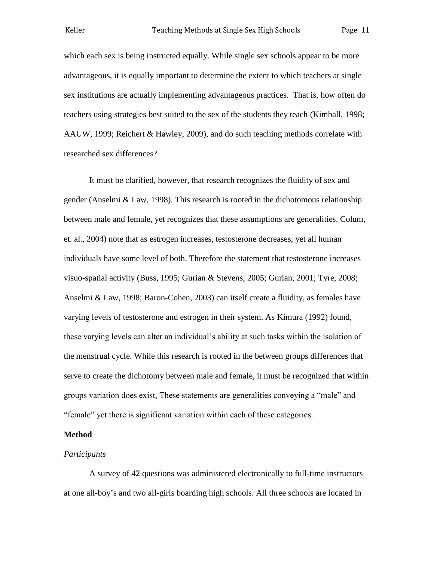which each sex is being instructed equally. While single sex schools appear to be more advantageous, it is equally important to determine the extent to which teachers at single sex institutions are actually implementing advantageous practices. That is, how often do teachers using strategies best suited to the sex of the students they teach (Kimball, 1998; AAUW, 1999; Reichert & Hawley, 2009), and do such teaching methods correlate with researched sex differences?

It must be clarified, however, that research recognizes the fluidity of sex and gender (Anselmi & Law, 1998). This research is rooted in the dichotomous relationship between male and female, yet recognizes that these assumptions are generalities. Colum, et. al., 2004) note that as estrogen increases, testosterone decreases, yet all human individuals have some level of both. Therefore the statement that testosterone increases visuo-spatial activity (Buss, 1995; Gurian & Stevens, 2005; Gurian, 2001; Tyre, 2008; Anselmi & Law, 1998; Baron-Cohen, 2003) can itself create a fluidity, as females have varying levels of testosterone and estrogen in their system. As Kimura (1992) found, these varying levels can alter an individual's ability at such tasks within the isolation of the menstrual cycle. While this research is rooted in the between groups differences that serve to create the dichotomy between male and female, it must be recognized that within groups variation does exist, These statements are generalities conveying a "male" and "female" yet there is significant variation within each of these categories.

#### **Method**

#### *Participants*

A survey of 42 questions was administered electronically to full-time instructors at one all-boy's and two all-girls boarding high schools. All three schools are located in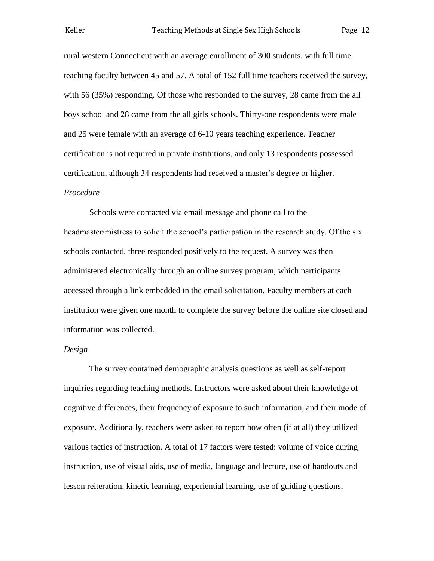rural western Connecticut with an average enrollment of 300 students, with full time teaching faculty between 45 and 57. A total of 152 full time teachers received the survey, with 56 (35%) responding. Of those who responded to the survey, 28 came from the all boys school and 28 came from the all girls schools. Thirty-one respondents were male and 25 were female with an average of 6-10 years teaching experience. Teacher certification is not required in private institutions, and only 13 respondents possessed certification, although 34 respondents had received a master's degree or higher.

#### *Procedure*

Schools were contacted via email message and phone call to the headmaster/mistress to solicit the school's participation in the research study. Of the six schools contacted, three responded positively to the request. A survey was then administered electronically through an online survey program, which participants accessed through a link embedded in the email solicitation. Faculty members at each institution were given one month to complete the survey before the online site closed and information was collected.

#### *Design*

The survey contained demographic analysis questions as well as self-report inquiries regarding teaching methods. Instructors were asked about their knowledge of cognitive differences, their frequency of exposure to such information, and their mode of exposure. Additionally, teachers were asked to report how often (if at all) they utilized various tactics of instruction. A total of 17 factors were tested: volume of voice during instruction, use of visual aids, use of media, language and lecture, use of handouts and lesson reiteration, kinetic learning, experiential learning, use of guiding questions,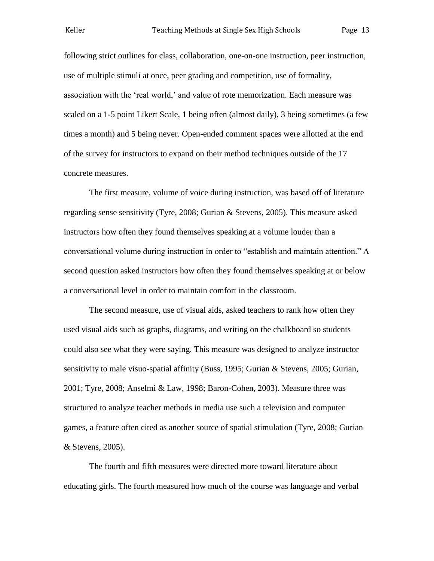following strict outlines for class, collaboration, one-on-one instruction, peer instruction, use of multiple stimuli at once, peer grading and competition, use of formality, association with the 'real world,' and value of rote memorization. Each measure was scaled on a 1-5 point Likert Scale, 1 being often (almost daily), 3 being sometimes (a few times a month) and 5 being never. Open-ended comment spaces were allotted at the end of the survey for instructors to expand on their method techniques outside of the 17 concrete measures.

The first measure, volume of voice during instruction, was based off of literature regarding sense sensitivity (Tyre, 2008; Gurian & Stevens, 2005). This measure asked instructors how often they found themselves speaking at a volume louder than a conversational volume during instruction in order to "establish and maintain attention." A second question asked instructors how often they found themselves speaking at or below a conversational level in order to maintain comfort in the classroom.

The second measure, use of visual aids, asked teachers to rank how often they used visual aids such as graphs, diagrams, and writing on the chalkboard so students could also see what they were saying. This measure was designed to analyze instructor sensitivity to male visuo-spatial affinity (Buss, 1995; Gurian & Stevens, 2005; Gurian, 2001; Tyre, 2008; Anselmi & Law, 1998; Baron-Cohen, 2003). Measure three was structured to analyze teacher methods in media use such a television and computer games, a feature often cited as another source of spatial stimulation (Tyre, 2008; Gurian & Stevens, 2005).

The fourth and fifth measures were directed more toward literature about educating girls. The fourth measured how much of the course was language and verbal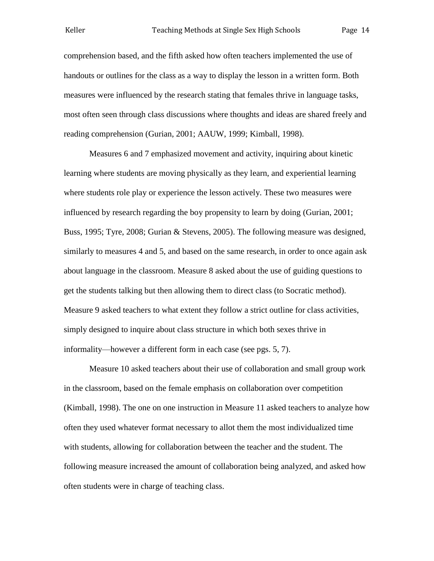comprehension based, and the fifth asked how often teachers implemented the use of handouts or outlines for the class as a way to display the lesson in a written form. Both measures were influenced by the research stating that females thrive in language tasks, most often seen through class discussions where thoughts and ideas are shared freely and reading comprehension (Gurian, 2001; AAUW, 1999; Kimball, 1998).

Measures 6 and 7 emphasized movement and activity, inquiring about kinetic learning where students are moving physically as they learn, and experiential learning where students role play or experience the lesson actively. These two measures were influenced by research regarding the boy propensity to learn by doing (Gurian, 2001; Buss, 1995; Tyre, 2008; Gurian & Stevens, 2005). The following measure was designed, similarly to measures 4 and 5, and based on the same research, in order to once again ask about language in the classroom. Measure 8 asked about the use of guiding questions to get the students talking but then allowing them to direct class (to Socratic method). Measure 9 asked teachers to what extent they follow a strict outline for class activities, simply designed to inquire about class structure in which both sexes thrive in informality—however a different form in each case (see pgs. 5, 7).

Measure 10 asked teachers about their use of collaboration and small group work in the classroom, based on the female emphasis on collaboration over competition (Kimball, 1998). The one on one instruction in Measure 11 asked teachers to analyze how often they used whatever format necessary to allot them the most individualized time with students, allowing for collaboration between the teacher and the student. The following measure increased the amount of collaboration being analyzed, and asked how often students were in charge of teaching class.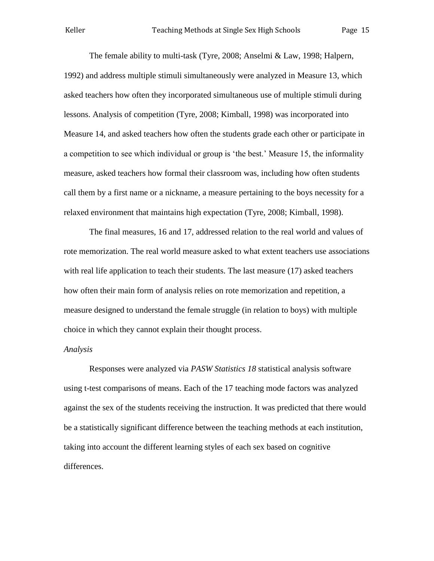The female ability to multi-task (Tyre, 2008; Anselmi & Law, 1998; Halpern, 1992) and address multiple stimuli simultaneously were analyzed in Measure 13, which asked teachers how often they incorporated simultaneous use of multiple stimuli during lessons. Analysis of competition (Tyre, 2008; Kimball, 1998) was incorporated into Measure 14, and asked teachers how often the students grade each other or participate in a competition to see which individual or group is 'the best.' Measure 15, the informality measure, asked teachers how formal their classroom was, including how often students call them by a first name or a nickname, a measure pertaining to the boys necessity for a relaxed environment that maintains high expectation (Tyre, 2008; Kimball, 1998).

The final measures, 16 and 17, addressed relation to the real world and values of rote memorization. The real world measure asked to what extent teachers use associations with real life application to teach their students. The last measure (17) asked teachers how often their main form of analysis relies on rote memorization and repetition, a measure designed to understand the female struggle (in relation to boys) with multiple choice in which they cannot explain their thought process.

#### *Analysis*

Responses were analyzed via *PASW Statistics 18* statistical analysis software using t-test comparisons of means. Each of the 17 teaching mode factors was analyzed against the sex of the students receiving the instruction. It was predicted that there would be a statistically significant difference between the teaching methods at each institution, taking into account the different learning styles of each sex based on cognitive differences.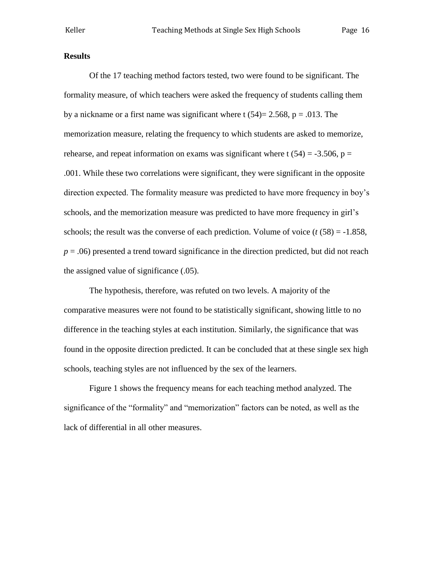#### **Results**

Of the 17 teaching method factors tested, two were found to be significant. The formality measure, of which teachers were asked the frequency of students calling them by a nickname or a first name was significant where t  $(54) = 2.568$ , p = .013. The memorization measure, relating the frequency to which students are asked to memorize, rehearse, and repeat information on exams was significant where t  $(54) = -3.506$ , p = .001. While these two correlations were significant, they were significant in the opposite direction expected. The formality measure was predicted to have more frequency in boy's schools, and the memorization measure was predicted to have more frequency in girl's schools; the result was the converse of each prediction. Volume of voice  $(t (58) = -1.858$ ,  $p = .06$ ) presented a trend toward significance in the direction predicted, but did not reach the assigned value of significance (.05).

The hypothesis, therefore, was refuted on two levels. A majority of the comparative measures were not found to be statistically significant, showing little to no difference in the teaching styles at each institution. Similarly, the significance that was found in the opposite direction predicted. It can be concluded that at these single sex high schools, teaching styles are not influenced by the sex of the learners.

Figure 1 shows the frequency means for each teaching method analyzed. The significance of the "formality" and "memorization" factors can be noted, as well as the lack of differential in all other measures.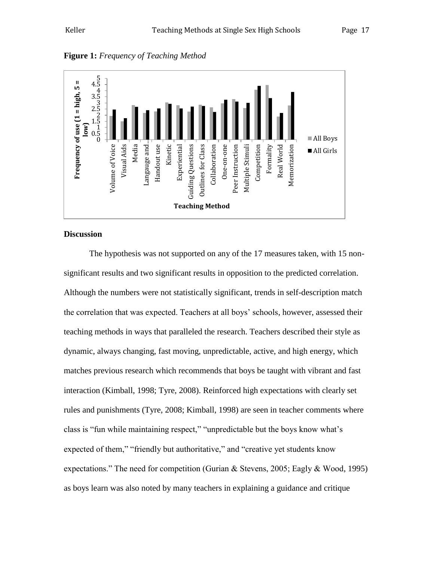

**Figure 1:** *Frequency of Teaching Method*

#### **Discussion**

The hypothesis was not supported on any of the 17 measures taken, with 15 nonsignificant results and two significant results in opposition to the predicted correlation. Although the numbers were not statistically significant, trends in self-description match the correlation that was expected. Teachers at all boys' schools, however, assessed their teaching methods in ways that paralleled the research. Teachers described their style as dynamic, always changing, fast moving, unpredictable, active, and high energy, which matches previous research which recommends that boys be taught with vibrant and fast interaction (Kimball, 1998; Tyre, 2008). Reinforced high expectations with clearly set rules and punishments (Tyre, 2008; Kimball, 1998) are seen in teacher comments where class is "fun while maintaining respect," "unpredictable but the boys know what's expected of them," "friendly but authoritative," and "creative yet students know expectations." The need for competition (Gurian & Stevens, 2005; Eagly & Wood, 1995) as boys learn was also noted by many teachers in explaining a guidance and critique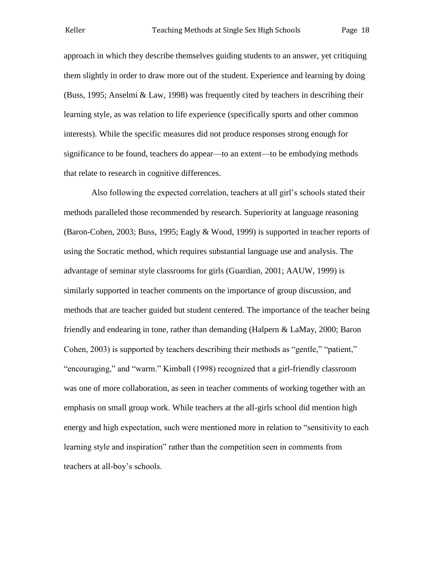approach in which they describe themselves guiding students to an answer, yet critiquing them slightly in order to draw more out of the student. Experience and learning by doing (Buss, 1995; Anselmi & Law, 1998) was frequently cited by teachers in describing their learning style, as was relation to life experience (specifically sports and other common interests). While the specific measures did not produce responses strong enough for significance to be found, teachers do appear—to an extent—to be embodying methods that relate to research in cognitive differences.

Also following the expected correlation, teachers at all girl's schools stated their methods paralleled those recommended by research. Superiority at language reasoning (Baron-Cohen, 2003; Buss, 1995; Eagly & Wood, 1999) is supported in teacher reports of using the Socratic method, which requires substantial language use and analysis. The advantage of seminar style classrooms for girls (Guardian, 2001; AAUW, 1999) is similarly supported in teacher comments on the importance of group discussion, and methods that are teacher guided but student centered. The importance of the teacher being friendly and endearing in tone, rather than demanding (Halpern & LaMay, 2000; Baron Cohen, 2003) is supported by teachers describing their methods as "gentle," "patient," "encouraging," and "warm." Kimball (1998) recognized that a girl-friendly classroom was one of more collaboration, as seen in teacher comments of working together with an emphasis on small group work. While teachers at the all-girls school did mention high energy and high expectation, such were mentioned more in relation to "sensitivity to each learning style and inspiration" rather than the competition seen in comments from teachers at all-boy's schools.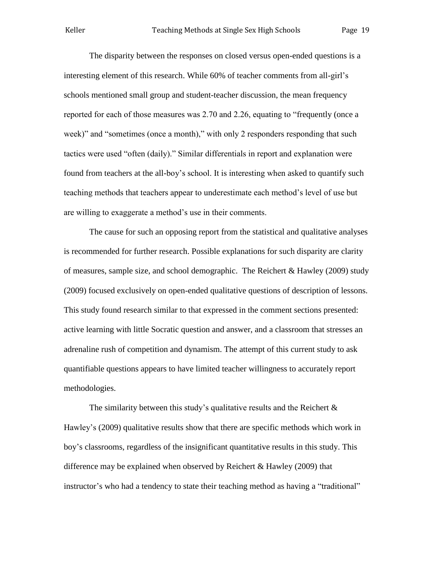The disparity between the responses on closed versus open-ended questions is a interesting element of this research. While 60% of teacher comments from all-girl's schools mentioned small group and student-teacher discussion, the mean frequency reported for each of those measures was 2.70 and 2.26, equating to "frequently (once a week)" and "sometimes (once a month)," with only 2 responders responding that such tactics were used "often (daily)." Similar differentials in report and explanation were found from teachers at the all-boy's school. It is interesting when asked to quantify such teaching methods that teachers appear to underestimate each method's level of use but are willing to exaggerate a method's use in their comments.

The cause for such an opposing report from the statistical and qualitative analyses is recommended for further research. Possible explanations for such disparity are clarity of measures, sample size, and school demographic. The Reichert & Hawley (2009) study (2009) focused exclusively on open-ended qualitative questions of description of lessons. This study found research similar to that expressed in the comment sections presented: active learning with little Socratic question and answer, and a classroom that stresses an adrenaline rush of competition and dynamism. The attempt of this current study to ask quantifiable questions appears to have limited teacher willingness to accurately report methodologies.

The similarity between this study's qualitative results and the Reichert  $\&$ Hawley's (2009) qualitative results show that there are specific methods which work in boy's classrooms, regardless of the insignificant quantitative results in this study. This difference may be explained when observed by Reichert & Hawley (2009) that instructor's who had a tendency to state their teaching method as having a "traditional"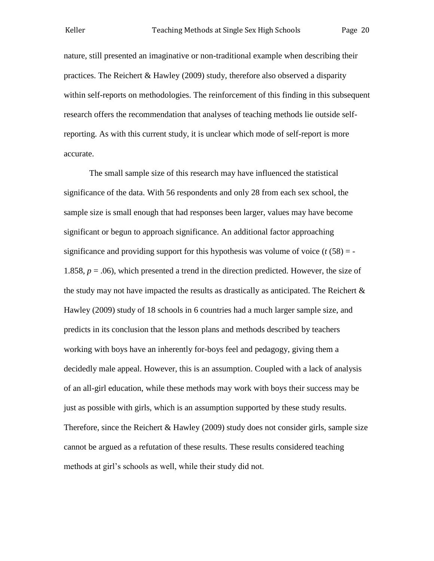nature, still presented an imaginative or non-traditional example when describing their practices. The Reichert & Hawley (2009) study, therefore also observed a disparity within self-reports on methodologies. The reinforcement of this finding in this subsequent research offers the recommendation that analyses of teaching methods lie outside selfreporting. As with this current study, it is unclear which mode of self-report is more accurate.

The small sample size of this research may have influenced the statistical significance of the data. With 56 respondents and only 28 from each sex school, the sample size is small enough that had responses been larger, values may have become significant or begun to approach significance. An additional factor approaching significance and providing support for this hypothesis was volume of voice  $(t \cdot 58) = -$ 1.858, *p* = .06), which presented a trend in the direction predicted. However, the size of the study may not have impacted the results as drastically as anticipated. The Reichert  $\&$ Hawley (2009) study of 18 schools in 6 countries had a much larger sample size, and predicts in its conclusion that the lesson plans and methods described by teachers working with boys have an inherently for-boys feel and pedagogy, giving them a decidedly male appeal. However, this is an assumption. Coupled with a lack of analysis of an all-girl education, while these methods may work with boys their success may be just as possible with girls, which is an assumption supported by these study results. Therefore, since the Reichert & Hawley (2009) study does not consider girls, sample size cannot be argued as a refutation of these results. These results considered teaching methods at girl's schools as well, while their study did not.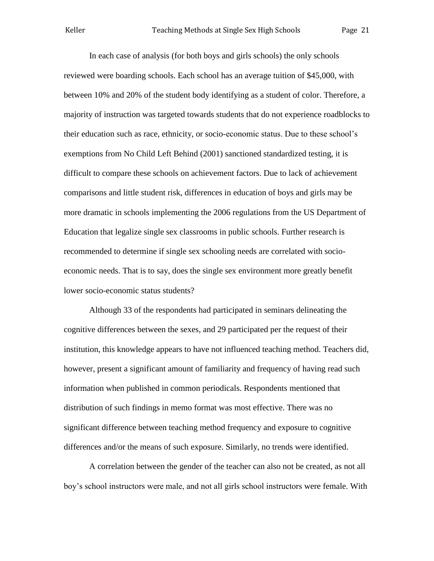In each case of analysis (for both boys and girls schools) the only schools reviewed were boarding schools. Each school has an average tuition of \$45,000, with between 10% and 20% of the student body identifying as a student of color. Therefore, a majority of instruction was targeted towards students that do not experience roadblocks to their education such as race, ethnicity, or socio-economic status. Due to these school's exemptions from No Child Left Behind (2001) sanctioned standardized testing, it is difficult to compare these schools on achievement factors. Due to lack of achievement comparisons and little student risk, differences in education of boys and girls may be more dramatic in schools implementing the 2006 regulations from the US Department of Education that legalize single sex classrooms in public schools. Further research is recommended to determine if single sex schooling needs are correlated with socioeconomic needs. That is to say, does the single sex environment more greatly benefit lower socio-economic status students?

Although 33 of the respondents had participated in seminars delineating the cognitive differences between the sexes, and 29 participated per the request of their institution, this knowledge appears to have not influenced teaching method. Teachers did, however, present a significant amount of familiarity and frequency of having read such information when published in common periodicals. Respondents mentioned that distribution of such findings in memo format was most effective. There was no significant difference between teaching method frequency and exposure to cognitive differences and/or the means of such exposure. Similarly, no trends were identified.

A correlation between the gender of the teacher can also not be created, as not all boy's school instructors were male, and not all girls school instructors were female. With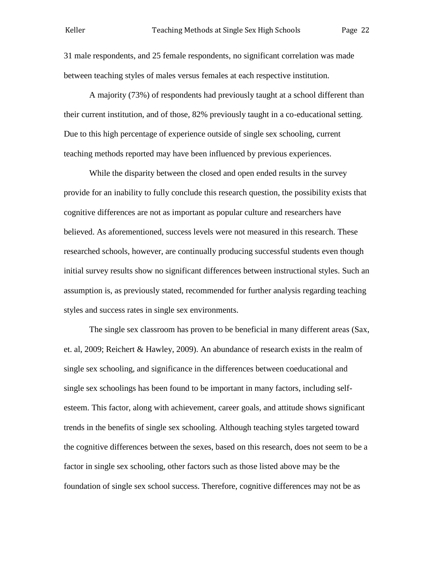31 male respondents, and 25 female respondents, no significant correlation was made between teaching styles of males versus females at each respective institution.

A majority (73%) of respondents had previously taught at a school different than their current institution, and of those, 82% previously taught in a co-educational setting. Due to this high percentage of experience outside of single sex schooling, current teaching methods reported may have been influenced by previous experiences.

While the disparity between the closed and open ended results in the survey provide for an inability to fully conclude this research question, the possibility exists that cognitive differences are not as important as popular culture and researchers have believed. As aforementioned, success levels were not measured in this research. These researched schools, however, are continually producing successful students even though initial survey results show no significant differences between instructional styles. Such an assumption is, as previously stated, recommended for further analysis regarding teaching styles and success rates in single sex environments.

The single sex classroom has proven to be beneficial in many different areas (Sax, et. al, 2009; Reichert & Hawley, 2009). An abundance of research exists in the realm of single sex schooling, and significance in the differences between coeducational and single sex schoolings has been found to be important in many factors, including selfesteem. This factor, along with achievement, career goals, and attitude shows significant trends in the benefits of single sex schooling. Although teaching styles targeted toward the cognitive differences between the sexes, based on this research, does not seem to be a factor in single sex schooling, other factors such as those listed above may be the foundation of single sex school success. Therefore, cognitive differences may not be as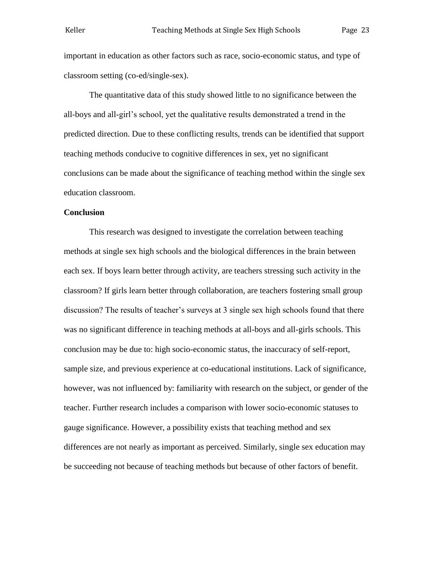important in education as other factors such as race, socio-economic status, and type of classroom setting (co-ed/single-sex).

The quantitative data of this study showed little to no significance between the all-boys and all-girl's school, yet the qualitative results demonstrated a trend in the predicted direction. Due to these conflicting results, trends can be identified that support teaching methods conducive to cognitive differences in sex, yet no significant conclusions can be made about the significance of teaching method within the single sex education classroom.

#### **Conclusion**

This research was designed to investigate the correlation between teaching methods at single sex high schools and the biological differences in the brain between each sex. If boys learn better through activity, are teachers stressing such activity in the classroom? If girls learn better through collaboration, are teachers fostering small group discussion? The results of teacher's surveys at 3 single sex high schools found that there was no significant difference in teaching methods at all-boys and all-girls schools. This conclusion may be due to: high socio-economic status, the inaccuracy of self-report, sample size, and previous experience at co-educational institutions. Lack of significance, however, was not influenced by: familiarity with research on the subject, or gender of the teacher. Further research includes a comparison with lower socio-economic statuses to gauge significance. However, a possibility exists that teaching method and sex differences are not nearly as important as perceived. Similarly, single sex education may be succeeding not because of teaching methods but because of other factors of benefit.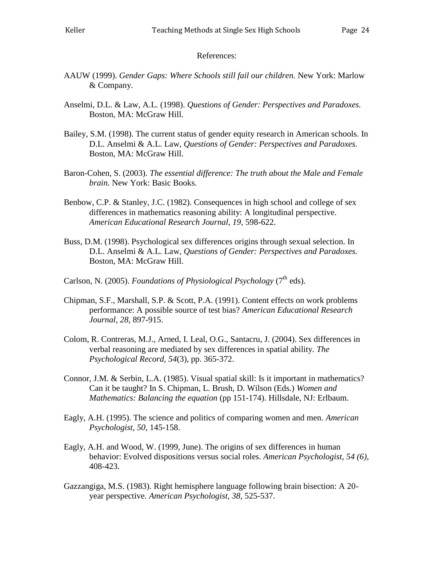#### References:

- AAUW (1999). *Gender Gaps: Where Schools still fail our children.* New York: Marlow & Company.
- Anselmi, D.L. & Law, A.L. (1998). *Questions of Gender: Perspectives and Paradoxes.*  Boston, MA: McGraw Hill.
- Bailey, S.M. (1998). The current status of gender equity research in American schools. In D.L. Anselmi & A.L. Law, *Questions of Gender: Perspectives and Paradoxes.*  Boston, MA: McGraw Hill.
- Baron-Cohen, S. (2003). *The essential difference: The truth about the Male and Female brain.* New York: Basic Books.
- Benbow, C.P. & Stanley, J.C. (1982). Consequences in high school and college of sex differences in mathematics reasoning ability: A longitudinal perspective. *American Educational Research Journal, 19,* 598-622.
- Buss, D.M. (1998). Psychological sex differences origins through sexual selection. In D.L. Anselmi & A.L. Law, *Questions of Gender: Perspectives and Paradoxes.*  Boston, MA: McGraw Hill.
- Carlson, N. (2005). *Foundations of Physiological Psychology* (7<sup>th</sup> eds).
- Chipman, S.F., Marshall, S.P. & Scott, P.A. (1991). Content effects on work problems performance: A possible source of test bias? *American Educational Research Journal, 28,* 897-915.
- Colom, R. Contreras, M.J., Arned, I. Leal, O.G., Santacru, J. (2004). Sex differences in verbal reasoning are mediated by sex differences in spatial ability. *The Psychological Record, 54*(3), pp. 365-372.
- Connor, J.M. & Serbin, L.A. (1985). Visual spatial skill: Is it important in mathematics? Can it be taught? In S. Chipman, L. Brush, D. Wilson (Eds.) *Women and Mathematics: Balancing the equation* (pp 151-174). Hillsdale, NJ: Erlbaum.
- Eagly, A.H. (1995). The science and politics of comparing women and men. *American Psychologist, 50,* 145-158.
- Eagly, A.H. and Wood, W. (1999, June). The origins of sex differences in human behavior: Evolved dispositions versus social roles. *American Psychologist, 54 (6),*  408-423.
- Gazzangiga, M.S. (1983). Right hemisphere language following brain bisection: A 20 year perspective. *American Psychologist, 38,* 525-537.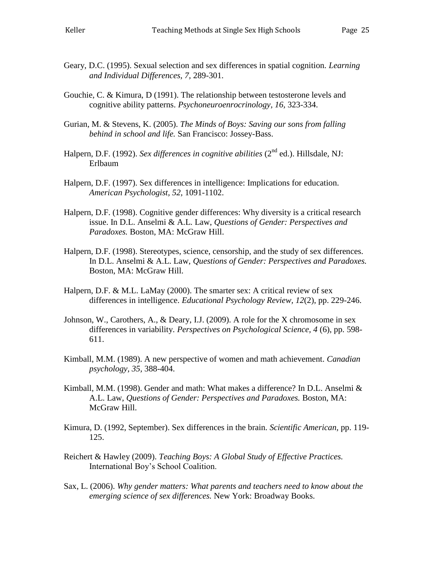- Geary, D.C. (1995). Sexual selection and sex differences in spatial cognition. *Learning and Individual Differences, 7,* 289-301.
- Gouchie, C. & Kimura, D (1991). The relationship between testosterone levels and cognitive ability patterns. *Psychoneuroenrocrinology, 16,* 323-334.
- Gurian, M. & Stevens, K. (2005). *The Minds of Boys: Saving our sons from falling behind in school and life.* San Francisco: Jossey-Bass.
- Halpern, D.F. (1992). *Sex differences in cognitive abilities* (2<sup>nd</sup> ed.). Hillsdale. NJ: Erlbaum
- Halpern, D.F. (1997). Sex differences in intelligence: Implications for education. *American Psychologist, 52,* 1091-1102.
- Halpern, D.F. (1998). Cognitive gender differences: Why diversity is a critical research issue. In D.L. Anselmi & A.L. Law, *Questions of Gender: Perspectives and Paradoxes.* Boston, MA: McGraw Hill.
- Halpern, D.F. (1998). Stereotypes, science, censorship, and the study of sex differences. In D.L. Anselmi & A.L. Law, *Questions of Gender: Perspectives and Paradoxes.*  Boston, MA: McGraw Hill.
- Halpern, D.F. & M.L. LaMay (2000). The smarter sex: A critical review of sex differences in intelligence. *Educational Psychology Review, 12*(2), pp. 229-246.
- Johnson, W., Carothers, A., & Deary, I.J. (2009). A role for the X chromosome in sex differences in variability. *Perspectives on Psychological Science, 4* (6), pp. 598- 611.
- Kimball, M.M. (1989). A new perspective of women and math achievement. *Canadian psychology, 35,* 388-404.
- Kimball, M.M. (1998). Gender and math: What makes a difference? In D.L. Anselmi  $\&$ A.L. Law, *Questions of Gender: Perspectives and Paradoxes.* Boston, MA: McGraw Hill.
- Kimura, D. (1992, September). Sex differences in the brain. *Scientific American,* pp. 119- 125.
- Reichert & Hawley (2009). *Teaching Boys: A Global Study of Effective Practices.* International Boy's School Coalition.
- Sax, L. (2006). *Why gender matters: What parents and teachers need to know about the emerging science of sex differences.* New York: Broadway Books.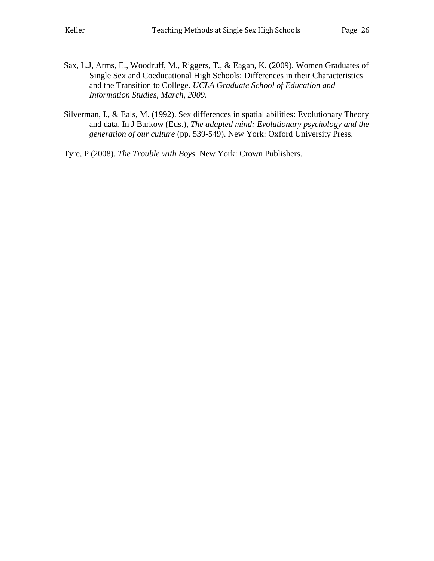- Sax, L.J, Arms, E., Woodruff, M., Riggers, T., & Eagan, K. (2009). Women Graduates of Single Sex and Coeducational High Schools: Differences in their Characteristics and the Transition to College. *UCLA Graduate School of Education and Information Studies, March, 2009.*
- Silverman, I., & Eals, M. (1992). Sex differences in spatial abilities: Evolutionary Theory and data. In J Barkow (Eds.), *The adapted mind: Evolutionary psychology and the generation of our culture* (pp. 539-549). New York: Oxford University Press.

Tyre, P (2008). *The Trouble with Boys.* New York: Crown Publishers.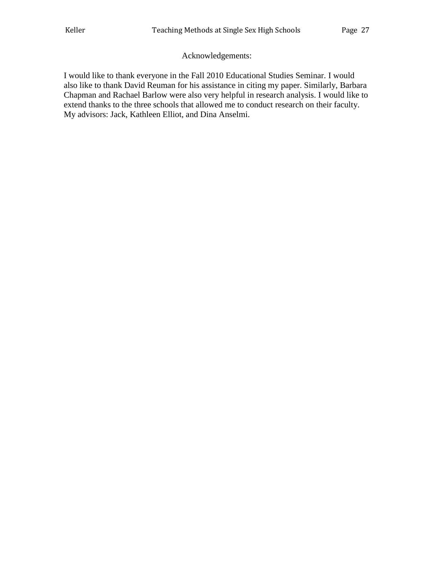## Acknowledgements:

I would like to thank everyone in the Fall 2010 Educational Studies Seminar. I would also like to thank David Reuman for his assistance in citing my paper. Similarly, Barbara Chapman and Rachael Barlow were also very helpful in research analysis. I would like to extend thanks to the three schools that allowed me to conduct research on their faculty. My advisors: Jack, Kathleen Elliot, and Dina Anselmi.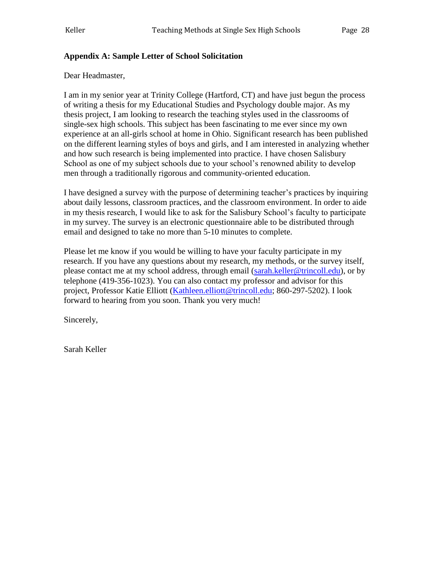## **Appendix A: Sample Letter of School Solicitation**

Dear Headmaster,

I am in my senior year at Trinity College (Hartford, CT) and have just begun the process of writing a thesis for my Educational Studies and Psychology double major. As my thesis project, I am looking to research the teaching styles used in the classrooms of single-sex high schools. This subject has been fascinating to me ever since my own experience at an all-girls school at home in Ohio. Significant research has been published on the different learning styles of boys and girls, and I am interested in analyzing whether and how such research is being implemented into practice. I have chosen Salisbury School as one of my subject schools due to your school's renowned ability to develop men through a traditionally rigorous and community-oriented education.

I have designed a survey with the purpose of determining teacher's practices by inquiring about daily lessons, classroom practices, and the classroom environment. In order to aide in my thesis research, I would like to ask for the Salisbury School's faculty to participate in my survey. The survey is an electronic questionnaire able to be distributed through email and designed to take no more than 5-10 minutes to complete.

Please let me know if you would be willing to have your faculty participate in my research. If you have any questions about my research, my methods, or the survey itself, please contact me at my school address, through email [\(sarah.keller@trincoll.edu\)](mailto:sarah.keller@trincoll.edu), or by telephone (419-356-1023). You can also contact my professor and advisor for this project, Professor Katie Elliott [\(Kathleen.elliott@trincoll.edu;](mailto:Kathleen.elliott@trincoll.edu) 860-297-5202). I look forward to hearing from you soon. Thank you very much!

Sincerely,

Sarah Keller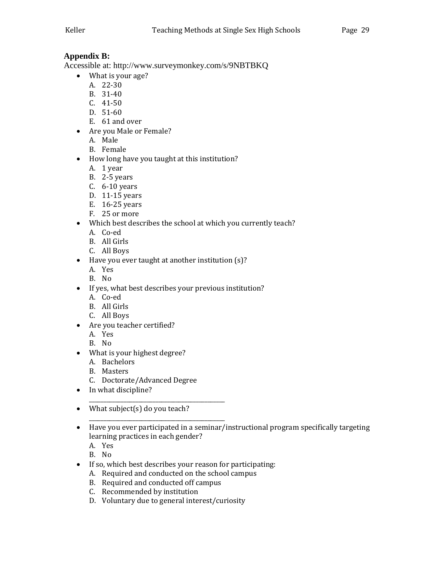## **Appendix B:**

Accessible at: http://www.surveymonkey.com/s/9NBTBKQ

- What is your age?
	- A. 22-30
	- B. 31-40
	- C. 41-50
	- D. 51-60
	- E. 61 and over
- Are you Male or Female?
	- A. Male
	- B. Female
- How long have you taught at this institution?
	- A. 1 year
	- B. 2-5 years
	- C. 6-10 years
	- D. 11-15 years
	- E. 16-25 years
	- F. 25 or more
- Which best describes the school at which you currently teach?
	- A. Co-ed
	- B. All Girls
	- C. All Boys
- Have you ever taught at another institution (s)?
	- A. Yes
	- B. No
- If yes, what best describes your previous institution?
	- A. Co-ed
	- B. All Girls
	- C. All Boys
- Are you teacher certified?
	- A. Yes
	- B. No
- What is your highest degree?
	- A. Bachelors
	- B. Masters
	- C. Doctorate/Advanced Degree

\_\_\_\_\_\_\_\_\_\_\_\_\_\_\_\_\_\_\_\_\_\_\_\_\_\_\_\_\_\_\_\_\_\_\_\_\_\_\_\_\_\_\_\_\_\_\_

\_\_\_\_\_\_\_\_\_\_\_\_\_\_\_\_\_\_\_\_\_\_\_\_\_\_\_\_\_\_\_\_\_\_\_\_\_\_\_\_\_\_\_\_\_\_\_

- In what discipline?
- What subject(s) do you teach?
- Have you ever participated in a seminar/instructional program specifically targeting learning practices in each gender?
	- A. Yes
	- B. No
- If so, which best describes your reason for participating:
	- A. Required and conducted on the school campus
	- B. Required and conducted off campus
	- C. Recommended by institution
	- D. Voluntary due to general interest/curiosity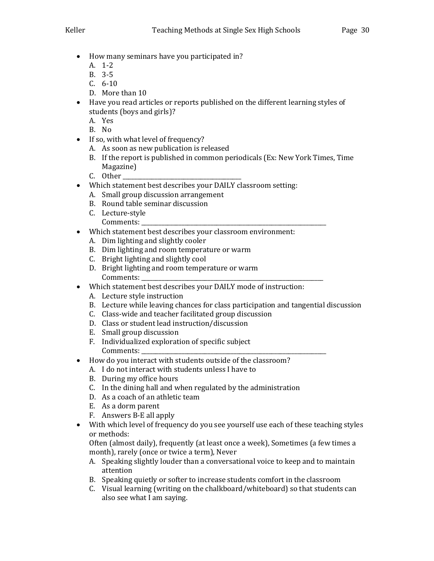- How many seminars have you participated in?
	- A. 1-2
	- B. 3-5
	- C. 6-10
	- D. More than 10
- Have you read articles or reports published on the different learning styles of students (boys and girls)?
	- A. Yes
	- B. No
- If so, with what level of frequency?
	- A. As soon as new publication is released
	- B. If the report is published in common periodicals (Ex: New York Times, Time Magazine)
	- C. Other
- Which statement best describes your DAILY classroom setting:
	- A. Small group discussion arrangement
	- B. Round table seminar discussion
	- C. Lecture-style
	- Comments:
- Which statement best describes your classroom environment:
	- A. Dim lighting and slightly cooler
	- B. Dim lighting and room temperature or warm
	- C. Bright lighting and slightly cool
	- D. Bright lighting and room temperature or warm Comments:
- Which statement best describes your DAILY mode of instruction:
	- A. Lecture style instruction
	- B. Lecture while leaving chances for class participation and tangential discussion
	- C. Class-wide and teacher facilitated group discussion
	- D. Class or student lead instruction/discussion
	- E. Small group discussion
	- F. Individualized exploration of specific subject Comments:
- How do you interact with students outside of the classroom?
	- A. I do not interact with students unless I have to
	- B. During my office hours
	- C. In the dining hall and when regulated by the administration
	- D. As a coach of an athletic team
	- E. As a dorm parent
	- F. Answers B-E all apply
- With which level of frequency do you see yourself use each of these teaching styles or methods:

Often (almost daily), frequently (at least once a week), Sometimes (a few times a month), rarely (once or twice a term), Never

- A. Speaking slightly louder than a conversational voice to keep and to maintain attention
- B. Speaking quietly or softer to increase students comfort in the classroom
- C. Visual learning (writing on the chalkboard/whiteboard) so that students can also see what I am saying.